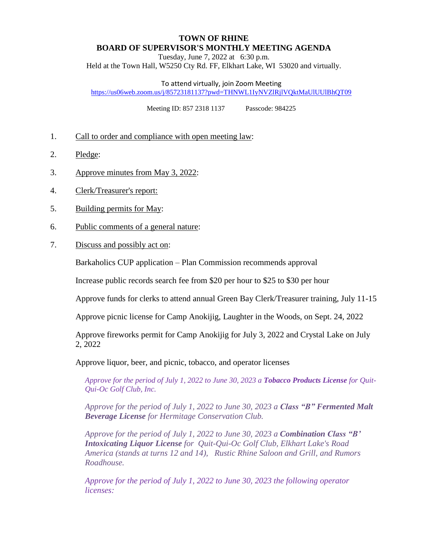## **TOWN OF RHINE BOARD OF SUPERVISOR'S MONTHLY MEETING AGENDA**

Tuesday, June 7, 2022 at 6:30 p.m. Held at the Town Hall, W5250 Cty Rd. FF, Elkhart Lake, WI 53020 and virtually.

To attend virtually, join Zoom Meeting

<https://us06web.zoom.us/j/85723181137?pwd=THNWL1IyNVZlRjlVQktMaUlUUlBhQT09>

Meeting ID: 857 2318 1137 Passcode: 984225

- 1. Call to order and compliance with open meeting law:
- 2. Pledge:
- 3. Approve minutes from May 3, 2022:
- 4. Clerk/Treasurer's report:
- 5. Building permits for May:
- 6. Public comments of a general nature:
- 7. Discuss and possibly act on:

Barkaholics CUP application – Plan Commission recommends approval

Increase public records search fee from \$20 per hour to \$25 to \$30 per hour

Approve funds for clerks to attend annual Green Bay Clerk/Treasurer training, July 11-15

Approve picnic license for Camp Anokijig, Laughter in the Woods, on Sept. 24, 2022

Approve fireworks permit for Camp Anokijig for July 3, 2022 and Crystal Lake on July 2, 2022

Approve liquor, beer, and picnic, tobacco, and operator licenses

*Approve for the period of July 1, 2022 to June 30, 2023 a Tobacco Products License for Quit-Qui-Oc Golf Club, Inc.* 

*Approve for the period of July 1, 2022 to June 30, 2023 a Class "B" Fermented Malt Beverage License for Hermitage Conservation Club.*

*Approve for the period of July 1, 2022 to June 30, 2023 a Combination Class "B' Intoxicating Liquor License for Quit-Qui-Oc Golf Club, Elkhart Lake's Road America (stands at turns 12 and 14), Rustic Rhine Saloon and Grill, and Rumors Roadhouse.* 

*Approve for the period of July 1, 2022 to June 30, 2023 the following operator licenses:*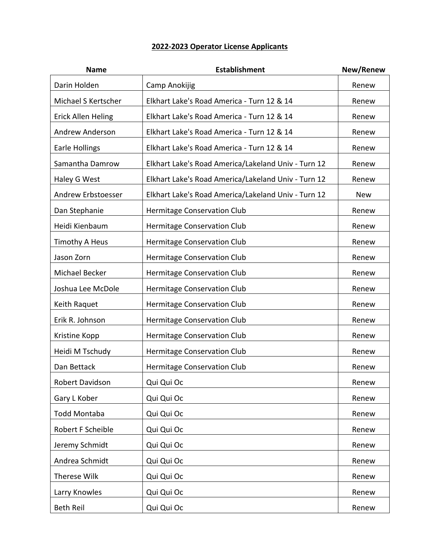## **2022-2023 Operator License Applicants**

| <b>Name</b>               | <b>Establishment</b>                                | New/Renew  |
|---------------------------|-----------------------------------------------------|------------|
| Darin Holden              | Camp Anokijig                                       | Renew      |
| Michael S Kertscher       | Elkhart Lake's Road America - Turn 12 & 14          | Renew      |
| <b>Erick Allen Heling</b> | Elkhart Lake's Road America - Turn 12 & 14          | Renew      |
| <b>Andrew Anderson</b>    | Elkhart Lake's Road America - Turn 12 & 14          | Renew      |
| <b>Earle Hollings</b>     | Elkhart Lake's Road America - Turn 12 & 14          | Renew      |
| Samantha Damrow           | Elkhart Lake's Road America/Lakeland Univ - Turn 12 | Renew      |
| Haley G West              | Elkhart Lake's Road America/Lakeland Univ - Turn 12 | Renew      |
| Andrew Erbstoesser        | Elkhart Lake's Road America/Lakeland Univ - Turn 12 | <b>New</b> |
| Dan Stephanie             | Hermitage Conservation Club                         | Renew      |
| Heidi Kienbaum            | Hermitage Conservation Club                         | Renew      |
| <b>Timothy A Heus</b>     | Hermitage Conservation Club                         | Renew      |
| Jason Zorn                | Hermitage Conservation Club                         | Renew      |
| Michael Becker            | Hermitage Conservation Club                         | Renew      |
| Joshua Lee McDole         | Hermitage Conservation Club                         | Renew      |
| Keith Raquet              | Hermitage Conservation Club                         | Renew      |
| Erik R. Johnson           | Hermitage Conservation Club                         | Renew      |
| Kristine Kopp             | Hermitage Conservation Club                         | Renew      |
| Heidi M Tschudy           | Hermitage Conservation Club                         | Renew      |
| Dan Bettack               | Hermitage Conservation Club                         | Renew      |
| Robert Davidson           | Qui Qui Oc                                          | Renew      |
| Gary L Kober              | Qui Qui Oc                                          | Renew      |
| Todd Montaba              | Qui Qui Oc                                          | Renew      |
| Robert F Scheible         | Qui Qui Oc                                          | Renew      |
| Jeremy Schmidt            | Qui Qui Oc                                          | Renew      |
| Andrea Schmidt            | Qui Qui Oc                                          | Renew      |
| Therese Wilk              | Qui Qui Oc                                          | Renew      |
| Larry Knowles             | Qui Qui Oc                                          | Renew      |
| <b>Beth Reil</b>          | Qui Qui Oc                                          | Renew      |